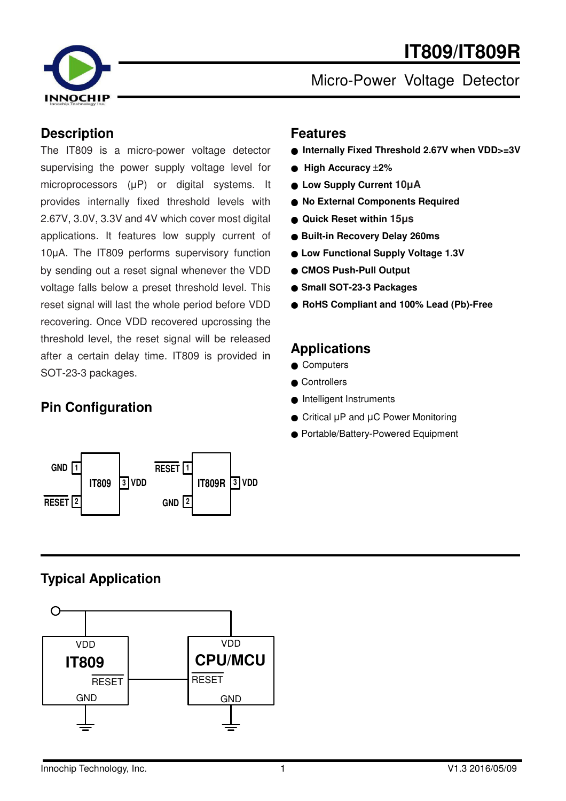# **IT809/IT809R**



Micro-Power Voltage Detector

#### **Description**

The IT809 is a micro-power voltage detector supervising the power supply voltage level for microprocessors (µP) or digital systems. It provides internally fixed threshold levels with 2.67V, 3.0V, 3.3V and 4V which cover most digital applications. It features low supply current of 10µA. The IT809 performs supervisory function by sending out a reset signal whenever the VDD voltage falls below a preset threshold level. This reset signal will last the whole period before VDD recovering. Once VDD recovered upcrossing the threshold level, the reset signal will be released after a certain delay time. IT809 is provided in SOT-23-3 packages.

# **Pin Configuration**



#### **Features**

- **Internally Fixed Threshold 2.67V when VDD>=3V**
- **High Accuracy** ±**2%**
- **Low Supply Current 10**µ**A**
- **No External Components Required**
- **Quick Reset within 15**µ**s**
- **Built-in Recovery Delay 260ms**
- **Low Functional Supply Voltage 1.3V**
- **CMOS Push-Pull Output**
- **Small SOT-23-3 Packages**
- **RoHS Compliant and 100% Lead (Pb)-Free**

#### **Applications**

- Computers
- Controllers
- Intelligent Instruments
- Critical µP and µC Power Monitoring
- Portable/Battery-Powered Equipment

# **Typical Application**

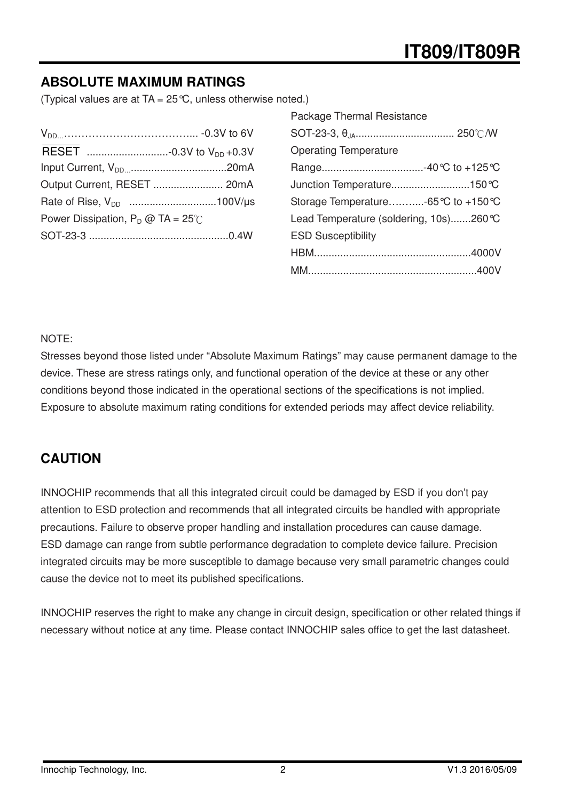# **ABSOLUTE MAXIMUM RATINGS**

(Typical values are at  $TA = 25^{\circ}C$ , unless otherwise noted.)

| Output Current, RESET  20mA                 |  |
|---------------------------------------------|--|
|                                             |  |
| Power Dissipation, $P_D @ TA = 25^{\circ}C$ |  |
|                                             |  |

| Package Thermal Resistance             |
|----------------------------------------|
|                                        |
| <b>Operating Temperature</b>           |
|                                        |
| Junction Temperature150°C              |
| Storage Temperature-65 ℃ to +150 ℃     |
| Lead Temperature (soldering, 10s)260°C |
| <b>ESD Susceptibility</b>              |
|                                        |
|                                        |

#### NOTE:

Stresses beyond those listed under "Absolute Maximum Ratings" may cause permanent damage to the device. These are stress ratings only, and functional operation of the device at these or any other conditions beyond those indicated in the operational sections of the specifications is not implied. Exposure to absolute maximum rating conditions for extended periods may affect device reliability.

### **CAUTION**

INNOCHIP recommends that all this integrated circuit could be damaged by ESD if you don't pay attention to ESD protection and recommends that all integrated circuits be handled with appropriate precautions. Failure to observe proper handling and installation procedures can cause damage. ESD damage can range from subtle performance degradation to complete device failure. Precision integrated circuits may be more susceptible to damage because very small parametric changes could cause the device not to meet its published specifications.

INNOCHIP reserves the right to make any change in circuit design, specification or other related things if necessary without notice at any time. Please contact INNOCHIP sales office to get the last datasheet.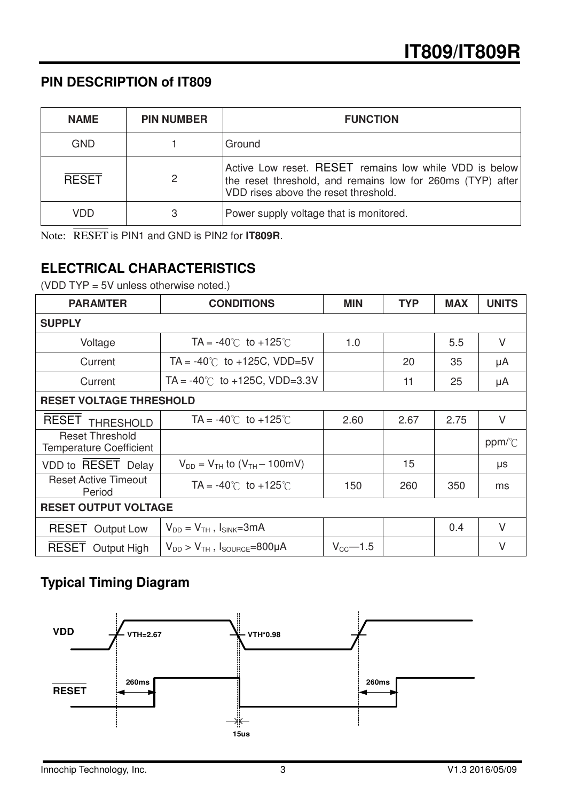### **PIN DESCRIPTION of IT809**

| <b>NAME</b>  | <b>PIN NUMBER</b> | <b>FUNCTION</b>                                                                                                                                              |
|--------------|-------------------|--------------------------------------------------------------------------------------------------------------------------------------------------------------|
| GND          |                   | Ground                                                                                                                                                       |
| <b>RESET</b> | 2                 | Active Low reset. RESET remains low while VDD is below<br>the reset threshold, and remains low for 260ms (TYP) after<br>VDD rises above the reset threshold. |
| <b>VDD</b>   | 3                 | Power supply voltage that is monitored.                                                                                                                      |

Note: RESET is PIN1 and GND is PIN2 for **IT809R**.

# **ELECTRICAL CHARACTERISTICS**

(VDD TYP = 5V unless otherwise noted.)

| <b>PARAMTER</b>                                          | <b>CONDITIONS</b>                          | <b>MIN</b>           | <b>TYP</b> | <b>MAX</b> | <b>UNITS</b> |  |
|----------------------------------------------------------|--------------------------------------------|----------------------|------------|------------|--------------|--|
| <b>SUPPLY</b>                                            |                                            |                      |            |            |              |  |
| Voltage                                                  | TA = $-40^{\circ}$ C to $+125^{\circ}$ C   | 1.0                  |            | 5.5        | $\vee$       |  |
| Current                                                  | $TA = -40^{\circ}$ to $+125C$ , VDD=5V     |                      | 20         | 35         | μA           |  |
| Current                                                  | TA = $-40^{\circ}$ C to $+125C$ , VDD=3.3V |                      | 11         | 25         | μA           |  |
| <b>RESET VOLTAGE THRESHOLD</b>                           |                                            |                      |            |            |              |  |
| <b>RESET</b><br><b>THRESHOLD</b>                         | $TA = -40^{\circ}$ to $+125^{\circ}$       | 2.60                 | 2.67       | 2.75       | $\vee$       |  |
| <b>Reset Threshold</b><br><b>Temperature Coefficient</b> |                                            |                      |            |            | ppm/°C       |  |
| VDD to RESET Delay                                       | $V_{DD} = V_{TH}$ to $(V_{TH} - 100$ mV)   |                      | 15         |            | μs           |  |
| <b>Reset Active Timeout</b><br>Period                    | $TA = -40^{\circ}$ to $+125^{\circ}$       | 150                  | 260        | 350        | ms           |  |
| <b>RESET OUTPUT VOLTAGE</b>                              |                                            |                      |            |            |              |  |
| <b>RESET Output Low</b>                                  | $V_{DD} = V_{TH}$ , $I_{SINK} = 3mA$       |                      |            | 0.4        | $\vee$       |  |
| <b>RESET</b> Output High                                 | $V_{DD}$ > $V_{TH}$ , $I_{SOURCE}$ =800µA  | $V_{\text{CC}}$ -1.5 |            |            | V            |  |

# **Typical Timing Diagram**

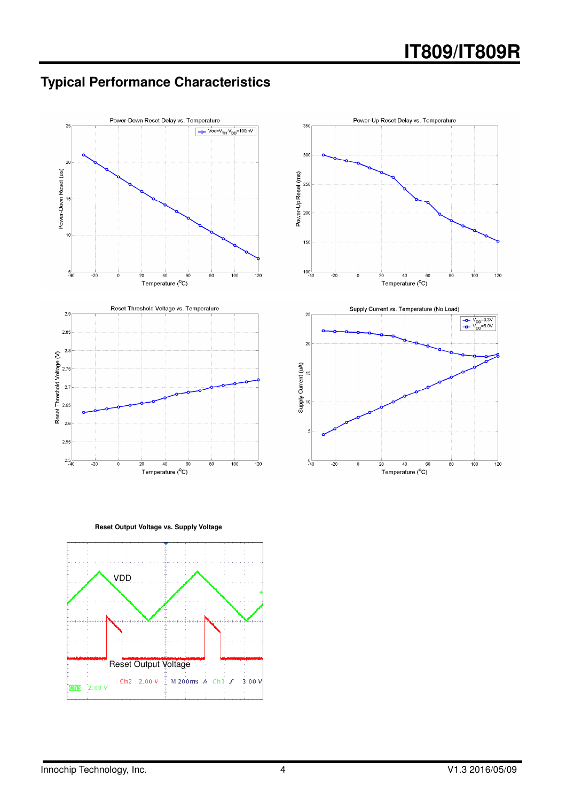# **Typical Performance Characteristics**





**Reset Output Voltage vs. Supply Voltage** 

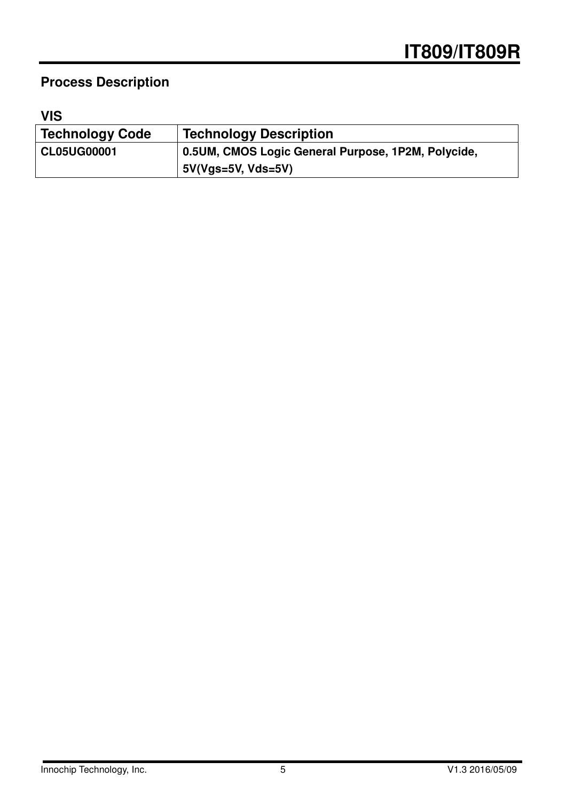# **Process Description**

# **VIS**

| <b>Technology Code</b> | <b>Technology Description</b>                      |
|------------------------|----------------------------------------------------|
| <b>CL05UG00001</b>     | 0.5UM, CMOS Logic General Purpose, 1P2M, Polycide, |
|                        | $5V(Vgs=5V, Vds=5V)$                               |